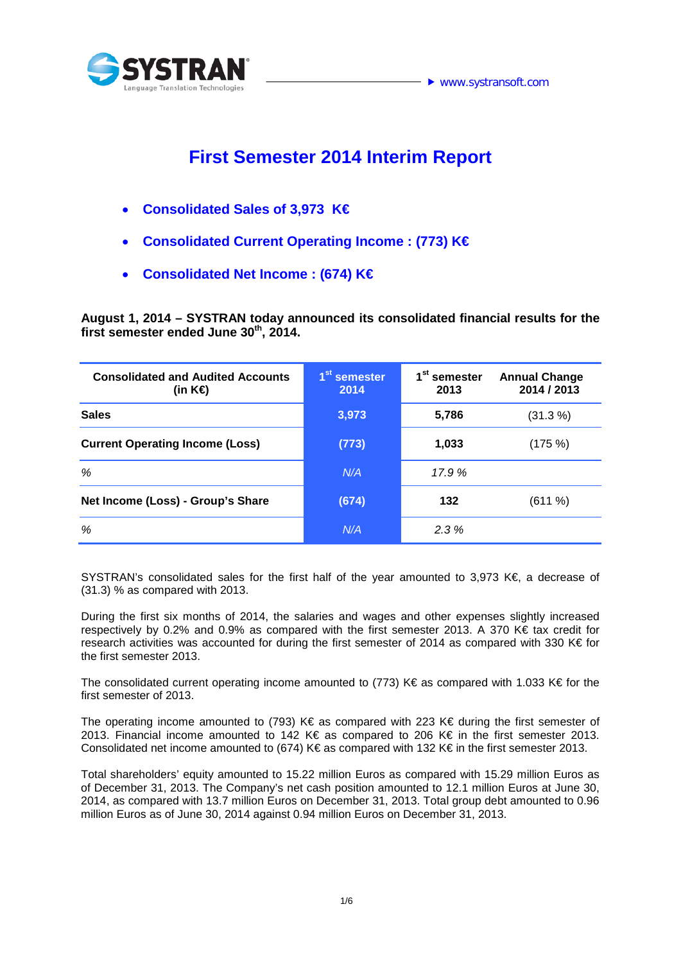

# **First Semester 2014 Interim Report**

- **Consolidated Sales of 3,973 K€**
- **Consolidated Current Operating Income : (773) K€**
- **Consolidated Net Income : (674) K€**

**August 1, 2014 – SYSTRAN today announced its consolidated financial results for the**  first semester ended June 30<sup>th</sup>, 2014.

| <b>Consolidated and Audited Accounts</b><br>(in K⊖ | 1 <sup>st</sup> semester<br>2014 | 1 <sup>st</sup> semester<br>2013 | <b>Annual Change</b><br>2014 / 2013 |
|----------------------------------------------------|----------------------------------|----------------------------------|-------------------------------------|
| <b>Sales</b>                                       | 3,973                            | 5,786                            | (31.3%)                             |
| <b>Current Operating Income (Loss)</b>             | (773)                            | 1,033                            | (175%)                              |
| %                                                  | N/A                              | 17.9 %                           |                                     |
| Net Income (Loss) - Group's Share                  | (674)                            | 132                              | (611%)                              |
| %                                                  | N/A                              | 2.3%                             |                                     |

SYSTRAN's consolidated sales for the first half of the year amounted to 3,973 K€, a decrease of (31.3) % as compared with 2013.

During the first six months of 2014, the salaries and wages and other expenses slightly increased respectively by 0.2% and 0.9% as compared with the first semester 2013. A 370 K€ tax credit for research activities was accounted for during the first semester of 2014 as compared with 330 K€ for the first semester 2013.

The consolidated current operating income amounted to (773) K€ as compared with 1.033 K€ for the first semester of 2013.

The operating income amounted to (793) K€ as compared with 223 K€ during the first semester of 2013. Financial income amounted to 142 K€ as compared to 206 K€ in the first semester 2013. Consolidated net income amounted to (674) K€ as compared with 132 K€ in the first semester 2013.

Total shareholders' equity amounted to 15.22 million Euros as compared with 15.29 million Euros as of December 31, 2013. The Company's net cash position amounted to 12.1 million Euros at June 30, 2014, as compared with 13.7 million Euros on December 31, 2013. Total group debt amounted to 0.96 million Euros as of June 30, 2014 against 0.94 million Euros on December 31, 2013.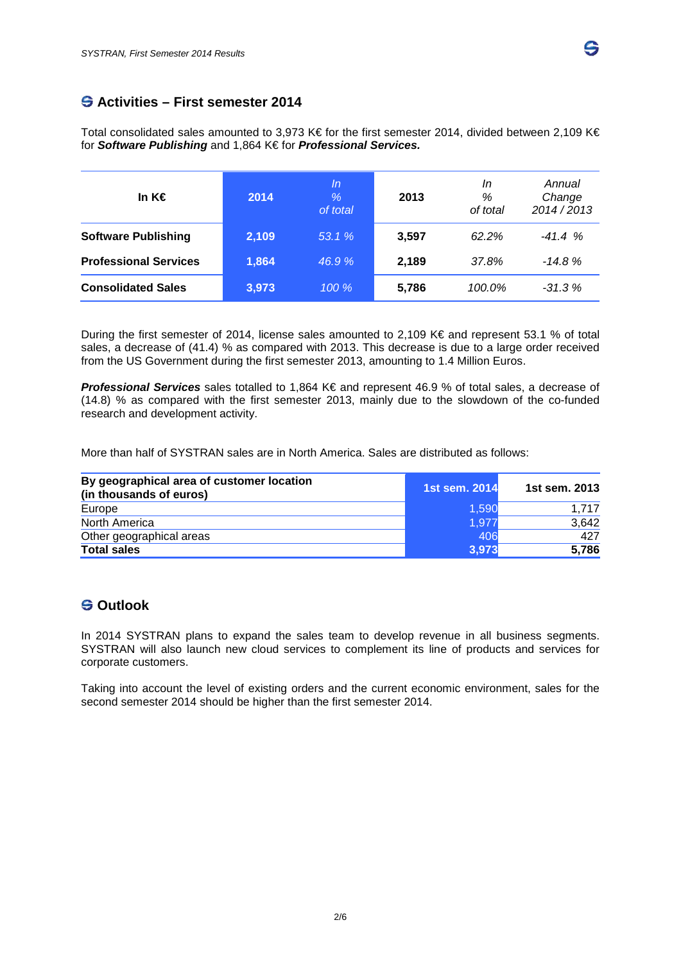

# **Activities – First semester 2014**

Total consolidated sales amounted to 3,973 K€ for the first semester 2014, divided between 2,109 K€ for *Software Publishing* and 1,864 K€ for *Professional Services.*

| In K€                        | 2014  | In<br>$\%$<br>of total | 2013  | In<br>%<br>of total | Annual<br>Change<br>2014/2013 |
|------------------------------|-------|------------------------|-------|---------------------|-------------------------------|
| <b>Software Publishing</b>   | 2,109 | 53.1 %                 | 3.597 | 62.2%               | $-41.4%$                      |
| <b>Professional Services</b> | 1,864 | 46.9%                  | 2,189 | 37.8%               | $-14.8%$                      |
| <b>Consolidated Sales</b>    | 3,973 | 100%                   | 5,786 | 100.0%              | $-31.3%$                      |

During the first semester of 2014, license sales amounted to 2,109 K€ and represent 53.1 % of total sales, a decrease of (41.4) % as compared with 2013. This decrease is due to a large order received from the US Government during the first semester 2013, amounting to 1.4 Million Euros.

*Professional Services* sales totalled to 1,864 K€ and represent 46.9 % of total sales, a decrease of (14.8) % as compared with the first semester 2013, mainly due to the slowdown of the co-funded research and development activity.

More than half of SYSTRAN sales are in North America. Sales are distributed as follows:

| By geographical area of customer location<br>(in thousands of euros) | 1st sem. 2014 | 1st sem. 2013 |
|----------------------------------------------------------------------|---------------|---------------|
| Europe                                                               | 1.590         | 1.717         |
| North America                                                        | 1,977         | 3,642         |
| Other geographical areas                                             | 406           | 427           |
| <b>Total sales</b>                                                   | 3,973         | 5,786         |

# **S** Outlook

In 2014 SYSTRAN plans to expand the sales team to develop revenue in all business segments. SYSTRAN will also launch new cloud services to complement its line of products and services for corporate customers.

Taking into account the level of existing orders and the current economic environment, sales for the second semester 2014 should be higher than the first semester 2014.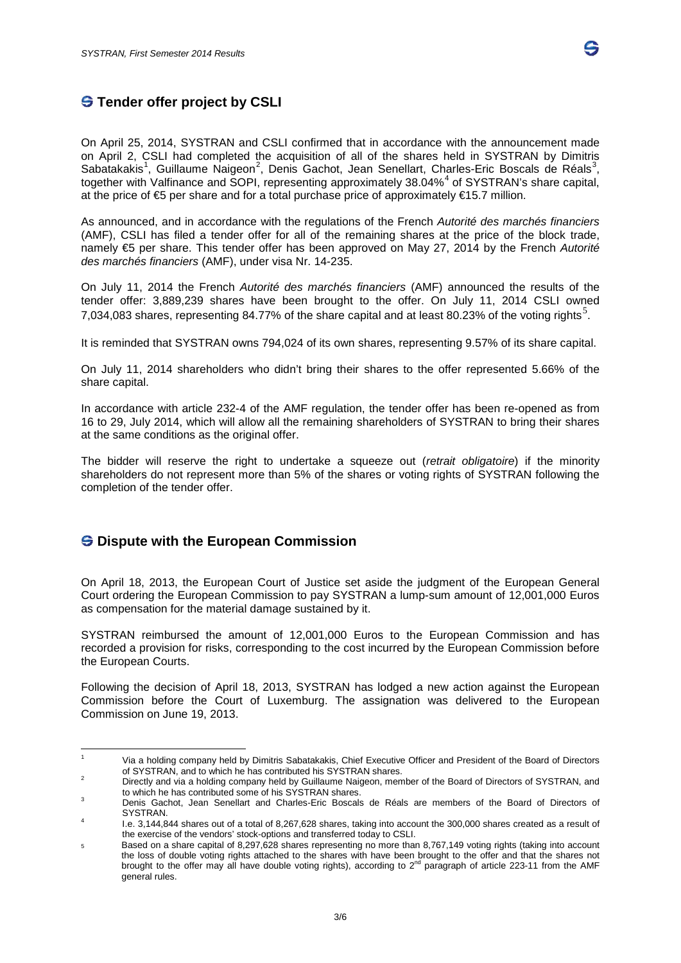# **S** Tender offer project by CSLI

On April 25, 2014, SYSTRAN and CSLI confirmed that in accordance with the announcement made on April 2, CSLI had completed the acquisition of all of the shares held in SYSTRAN by Dimitris Sabatakakis<sup>[1](#page-2-0)</sup>, Guillaume Naigeon<sup>[2](#page-2-1)</sup>, Denis Gachot, Jean Senellart, Charles-Eric Boscals de Réals<sup>[3](#page-2-2)</sup>, together with Valfinance and SOPI, representing approximately 38.0[4](#page-2-3)%<sup>4</sup> of SYSTRAN's share capital, at the price of  $\text{E}$  per share and for a total purchase price of approximately  $\text{E}15.7$  million.

As announced, and in accordance with the regulations of the French *Autorité des marchés financiers* (AMF), CSLI has filed a tender offer for all of the remaining shares at the price of the block trade, namely €5 per share. This tender offer has been approved on May 27, 2014 by the French *Autorité des marchés financiers* (AMF), under visa Nr. 14-235.

On July 11, 2014 the French *Autorité des marchés financiers* (AMF) announced the results of the tender offer: 3,889,239 shares have been brought to the offer. On July 11, 2014 CSLI owned 7,034,083 shares, representing 84.77% of the share capital and at least 80.23% of the voting rights<sup>[5](#page-2-4)</sup>.

It is reminded that SYSTRAN owns 794,024 of its own shares, representing 9.57% of its share capital.

On July 11, 2014 shareholders who didn't bring their shares to the offer represented 5.66% of the share capital.

In accordance with article 232-4 of the AMF regulation, the tender offer has been re-opened as from 16 to 29, July 2014, which will allow all the remaining shareholders of SYSTRAN to bring their shares at the same conditions as the original offer.

The bidder will reserve the right to undertake a squeeze out (*retrait obligatoire*) if the minority shareholders do not represent more than 5% of the shares or voting rights of SYSTRAN following the completion of the tender offer.

### $\bigcirc$  Dispute with the European Commission

On April 18, 2013, the European Court of Justice set aside the judgment of the European General Court ordering the European Commission to pay SYSTRAN a lump-sum amount of 12,001,000 Euros as compensation for the material damage sustained by it.

SYSTRAN reimbursed the amount of 12,001,000 Euros to the European Commission and has recorded a provision for risks, corresponding to the cost incurred by the European Commission before the European Courts.

Following the decision of April 18, 2013, SYSTRAN has lodged a new action against the European Commission before the Court of Luxemburg. The assignation was delivered to the European Commission on June 19, 2013.

<span id="page-2-0"></span><sup>&</sup>lt;sup>1</sup> Via a holding company held by Dimitris Sabatakakis, Chief Executive Officer and President of the Board of Directors<br>of SYSTRAN, and to which he has contributed his SYSTRAN shares.

<span id="page-2-1"></span><sup>&</sup>lt;sup>2</sup> Directly and via a holding company held by Guillaume Naigeon, member of the Board of Directors of SYSTRAN, and to which he has contributed some of his SYSTRAN shares.

<span id="page-2-2"></span>Denis Gachot, Jean Senellart and Charles-Eric Boscals de Réals are members of the Board of Directors of SYSTRAN

<span id="page-2-3"></span>SYSTRAN. <sup>4</sup> I.e. 3,144,844 shares out of a total of 8,267,628 shares, taking into account the 300,000 shares created as a result of the exercise of the vendors' stock-options and transferred today to CSLI.

<span id="page-2-4"></span><sup>5</sup> Based on a share capital of 8,297,628 shares representing no more than 8,767,149 voting rights (taking into account the loss of double voting rights attached to the shares with have been brought to the offer and that the shares not brought to the offer may all have double voting rights), according to  $2^{nd}$  paragraph of article 223-11 from the AMF general rules.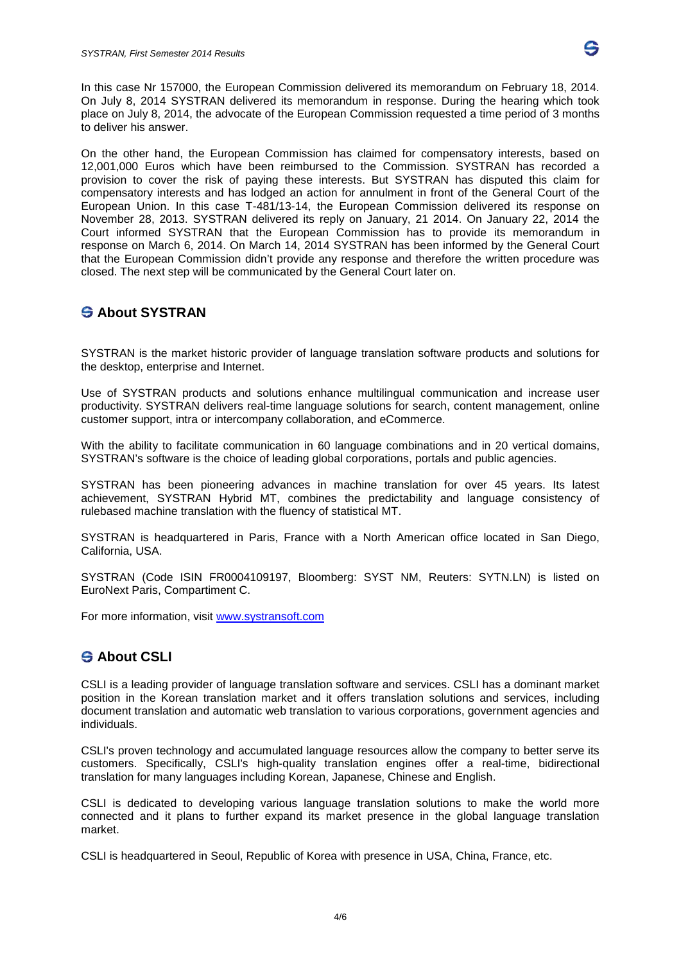

In this case Nr 157000, the European Commission delivered its memorandum on February 18, 2014. On July 8, 2014 SYSTRAN delivered its memorandum in response. During the hearing which took place on July 8, 2014, the advocate of the European Commission requested a time period of 3 months to deliver his answer.

On the other hand, the European Commission has claimed for compensatory interests, based on 12,001,000 Euros which have been reimbursed to the Commission. SYSTRAN has recorded a provision to cover the risk of paying these interests. But SYSTRAN has disputed this claim for compensatory interests and has lodged an action for annulment in front of the General Court of the European Union. In this case T-481/13-14, the European Commission delivered its response on November 28, 2013. SYSTRAN delivered its reply on January, 21 2014. On January 22, 2014 the Court informed SYSTRAN that the European Commission has to provide its memorandum in response on March 6, 2014. On March 14, 2014 SYSTRAN has been informed by the General Court that the European Commission didn't provide any response and therefore the written procedure was closed. The next step will be communicated by the General Court later on.

# **About SYSTRAN**

SYSTRAN is the market historic provider of language translation software products and solutions for the desktop, enterprise and Internet.

Use of SYSTRAN products and solutions enhance multilingual communication and increase user productivity. SYSTRAN delivers real-time language solutions for search, content management, online customer support, intra or intercompany collaboration, and eCommerce.

With the ability to facilitate communication in 60 language combinations and in 20 vertical domains, SYSTRAN's software is the choice of leading global corporations, portals and public agencies.

SYSTRAN has been pioneering advances in machine translation for over 45 years. Its latest achievement, SYSTRAN Hybrid MT, combines the predictability and language consistency of rulebased machine translation with the fluency of statistical MT.

SYSTRAN is headquartered in Paris, France with a North American office located in San Diego, California, USA.

SYSTRAN (Code ISIN FR0004109197, Bloomberg: SYST NM, Reuters: SYTN.LN) is listed on EuroNext Paris, Compartiment C.

For more information, visit [www.systransoft.com](http://www.systransoft.com/)

# **About CSLI**

CSLI is a leading provider of language translation software and services. CSLI has a dominant market position in the Korean translation market and it offers translation solutions and services, including document translation and automatic web translation to various corporations, government agencies and individuals.

CSLI's proven technology and accumulated language resources allow the company to better serve its customers. Specifically, CSLI's high-quality translation engines offer a real-time, bidirectional translation for many languages including Korean, Japanese, Chinese and English.

CSLI is dedicated to developing various language translation solutions to make the world more connected and it plans to further expand its market presence in the global language translation market.

CSLI is headquartered in Seoul, Republic of Korea with presence in USA, China, France, etc.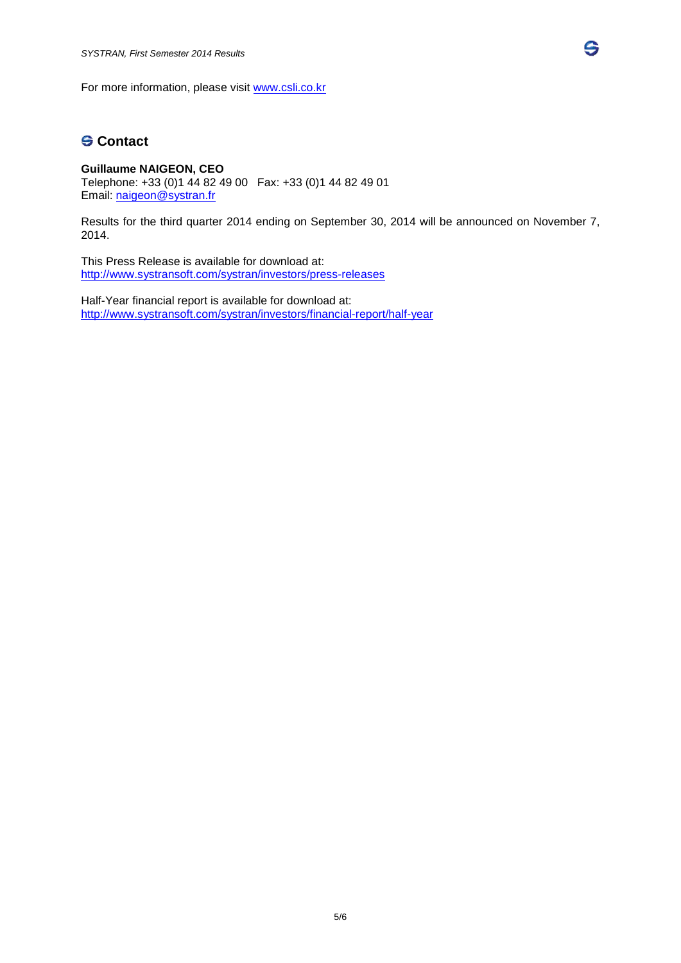For more information, please visit [www.csli.co.kr](http://www.csli.co.kr/)

# **G** Contact

#### **Guillaume NAIGEON, CEO** Telephone: +33 (0)1 44 82 49 00 Fax: +33 (0)1 44 82 49 01 Email: [naigeon@systran.fr](mailto:naigeon@systran.fr)

Results for the third quarter 2014 ending on September 30, 2014 will be announced on November 7, 2014.

G,

This Press Release is available for download at: <http://www.systransoft.com/systran/investors/press-releases>

Half-Year financial report is available for download at: <http://www.systransoft.com/systran/investors/financial-report/half-year>

5/6